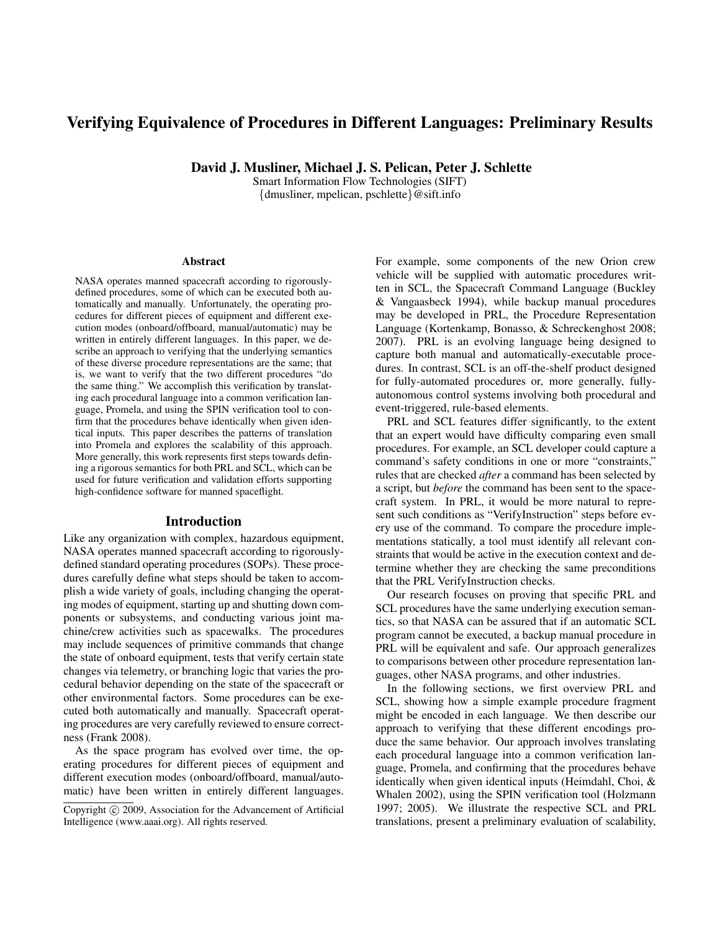# Verifying Equivalence of Procedures in Different Languages: Preliminary Results

David J. Musliner, Michael J. S. Pelican, Peter J. Schlette

Smart Information Flow Technologies (SIFT) {dmusliner, mpelican, pschlette}@sift.info

#### Abstract

NASA operates manned spacecraft according to rigorouslydefined procedures, some of which can be executed both automatically and manually. Unfortunately, the operating procedures for different pieces of equipment and different execution modes (onboard/offboard, manual/automatic) may be written in entirely different languages. In this paper, we describe an approach to verifying that the underlying semantics of these diverse procedure representations are the same; that is, we want to verify that the two different procedures "do the same thing." We accomplish this verification by translating each procedural language into a common verification language, Promela, and using the SPIN verification tool to confirm that the procedures behave identically when given identical inputs. This paper describes the patterns of translation into Promela and explores the scalability of this approach. More generally, this work represents first steps towards defining a rigorous semantics for both PRL and SCL, which can be used for future verification and validation efforts supporting high-confidence software for manned spaceflight.

#### Introduction

Like any organization with complex, hazardous equipment, NASA operates manned spacecraft according to rigorouslydefined standard operating procedures (SOPs). These procedures carefully define what steps should be taken to accomplish a wide variety of goals, including changing the operating modes of equipment, starting up and shutting down components or subsystems, and conducting various joint machine/crew activities such as spacewalks. The procedures may include sequences of primitive commands that change the state of onboard equipment, tests that verify certain state changes via telemetry, or branching logic that varies the procedural behavior depending on the state of the spacecraft or other environmental factors. Some procedures can be executed both automatically and manually. Spacecraft operating procedures are very carefully reviewed to ensure correctness (Frank 2008).

As the space program has evolved over time, the operating procedures for different pieces of equipment and different execution modes (onboard/offboard, manual/automatic) have been written in entirely different languages. For example, some components of the new Orion crew vehicle will be supplied with automatic procedures written in SCL, the Spacecraft Command Language (Buckley & Vangaasbeck 1994), while backup manual procedures may be developed in PRL, the Procedure Representation Language (Kortenkamp, Bonasso, & Schreckenghost 2008; 2007). PRL is an evolving language being designed to capture both manual and automatically-executable procedures. In contrast, SCL is an off-the-shelf product designed for fully-automated procedures or, more generally, fullyautonomous control systems involving both procedural and event-triggered, rule-based elements.

PRL and SCL features differ significantly, to the extent that an expert would have difficulty comparing even small procedures. For example, an SCL developer could capture a command's safety conditions in one or more "constraints," rules that are checked *after* a command has been selected by a script, but *before* the command has been sent to the spacecraft system. In PRL, it would be more natural to represent such conditions as "VerifyInstruction" steps before every use of the command. To compare the procedure implementations statically, a tool must identify all relevant constraints that would be active in the execution context and determine whether they are checking the same preconditions that the PRL VerifyInstruction checks.

Our research focuses on proving that specific PRL and SCL procedures have the same underlying execution semantics, so that NASA can be assured that if an automatic SCL program cannot be executed, a backup manual procedure in PRL will be equivalent and safe. Our approach generalizes to comparisons between other procedure representation languages, other NASA programs, and other industries.

In the following sections, we first overview PRL and SCL, showing how a simple example procedure fragment might be encoded in each language. We then describe our approach to verifying that these different encodings produce the same behavior. Our approach involves translating each procedural language into a common verification language, Promela, and confirming that the procedures behave identically when given identical inputs (Heimdahl, Choi, & Whalen 2002), using the SPIN verification tool (Holzmann 1997; 2005). We illustrate the respective SCL and PRL translations, present a preliminary evaluation of scalability,

Copyright (c) 2009, Association for the Advancement of Artificial Intelligence (www.aaai.org). All rights reserved.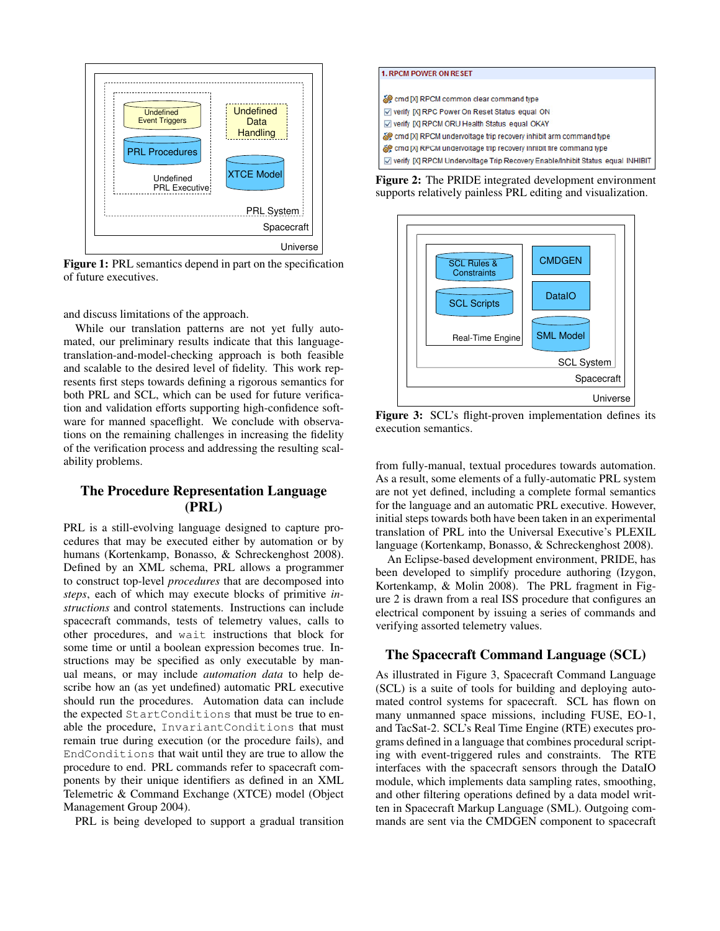

Figure 1: PRL semantics depend in part on the specification of future executives.

and discuss limitations of the approach.

While our translation patterns are not yet fully automated, our preliminary results indicate that this languagetranslation-and-model-checking approach is both feasible and scalable to the desired level of fidelity. This work represents first steps towards defining a rigorous semantics for both PRL and SCL, which can be used for future verification and validation efforts supporting high-confidence software for manned spaceflight. We conclude with observations on the remaining challenges in increasing the fidelity of the verification process and addressing the resulting scalability problems.

# The Procedure Representation Language (PRL)

PRL is a still-evolving language designed to capture procedures that may be executed either by automation or by humans (Kortenkamp, Bonasso, & Schreckenghost 2008). Defined by an XML schema, PRL allows a programmer to construct top-level *procedures* that are decomposed into *steps*, each of which may execute blocks of primitive *instructions* and control statements. Instructions can include spacecraft commands, tests of telemetry values, calls to other procedures, and wait instructions that block for some time or until a boolean expression becomes true. Instructions may be specified as only executable by manual means, or may include *automation data* to help describe how an (as yet undefined) automatic PRL executive should run the procedures. Automation data can include the expected StartConditions that must be true to enable the procedure, InvariantConditions that must remain true during execution (or the procedure fails), and EndConditions that wait until they are true to allow the procedure to end. PRL commands refer to spacecraft components by their unique identifiers as defined in an XML Telemetric & Command Exchange (XTCE) model (Object Management Group 2004).

PRL is being developed to support a gradual transition

| <b>1. RPCM POWER ON RESET</b>                                                  |  |
|--------------------------------------------------------------------------------|--|
| cmd [X] RPCM common clear command type                                         |  |
| ☑ verify [X] RPC Power On Reset Status equal ON                                |  |
| ☑ verify [X] RPCM ORU Health Status equal OKAY                                 |  |
| emd [X] RPCM undervoltage trip recovery inhibit arm command type               |  |
| emd [X] RPCM undervoltage trip recovery inhibit fire command type              |  |
| Verify [X] RPCM Undervoltage Trip Recovery Enable/Inhibit Status equal INHIBIT |  |

Figure 2: The PRIDE integrated development environment supports relatively painless PRL editing and visualization.



Figure 3: SCL's flight-proven implementation defines its execution semantics.

from fully-manual, textual procedures towards automation. As a result, some elements of a fully-automatic PRL system are not yet defined, including a complete formal semantics for the language and an automatic PRL executive. However, initial steps towards both have been taken in an experimental translation of PRL into the Universal Executive's PLEXIL language (Kortenkamp, Bonasso, & Schreckenghost 2008).

An Eclipse-based development environment, PRIDE, has been developed to simplify procedure authoring (Izygon, Kortenkamp, & Molin 2008). The PRL fragment in Figure 2 is drawn from a real ISS procedure that configures an electrical component by issuing a series of commands and verifying assorted telemetry values.

### The Spacecraft Command Language (SCL)

As illustrated in Figure 3, Spacecraft Command Language (SCL) is a suite of tools for building and deploying automated control systems for spacecraft. SCL has flown on many unmanned space missions, including FUSE, EO-1, and TacSat-2. SCL's Real Time Engine (RTE) executes programs defined in a language that combines procedural scripting with event-triggered rules and constraints. The RTE interfaces with the spacecraft sensors through the DataIO module, which implements data sampling rates, smoothing, and other filtering operations defined by a data model written in Spacecraft Markup Language (SML). Outgoing commands are sent via the CMDGEN component to spacecraft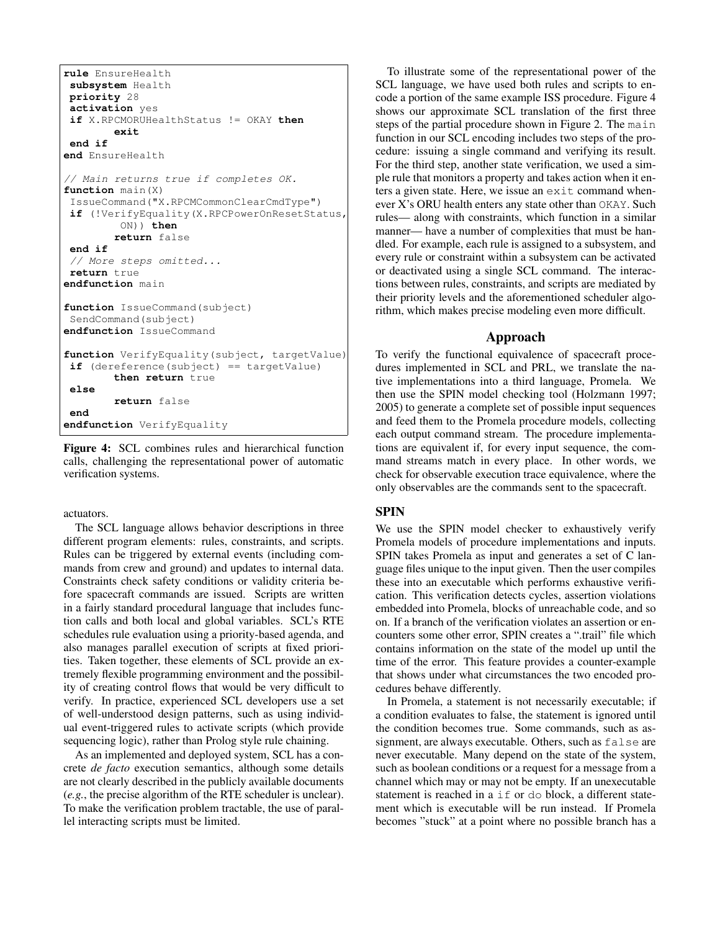```
rule EnsureHealth
 subsystem Health
priority 28
 activation yes
 if X.RPCMORUHealthStatus != OKAY then
        exit
 end if
end EnsureHealth
// Main returns true if completes OK.
function main(X)
 IssueCommand("X.RPCMCommonClearCmdType")
if (!VerifyEquality(X.RPCPowerOnResetStatus,
         ON)) then
        return false
 end if
 // More steps omitted...
 return true
endfunction main
function IssueCommand(subject)
 SendCommand(subject)
endfunction IssueCommand
function VerifyEquality(subject, targetValue)
if (dereference(subject) == targetValue)
        then return true
 else
        return false
 end
endfunction VerifyEquality
```
Figure 4: SCL combines rules and hierarchical function calls, challenging the representational power of automatic verification systems.

#### actuators.

The SCL language allows behavior descriptions in three different program elements: rules, constraints, and scripts. Rules can be triggered by external events (including commands from crew and ground) and updates to internal data. Constraints check safety conditions or validity criteria before spacecraft commands are issued. Scripts are written in a fairly standard procedural language that includes function calls and both local and global variables. SCL's RTE schedules rule evaluation using a priority-based agenda, and also manages parallel execution of scripts at fixed priorities. Taken together, these elements of SCL provide an extremely flexible programming environment and the possibility of creating control flows that would be very difficult to verify. In practice, experienced SCL developers use a set of well-understood design patterns, such as using individual event-triggered rules to activate scripts (which provide sequencing logic), rather than Prolog style rule chaining.

As an implemented and deployed system, SCL has a concrete *de facto* execution semantics, although some details are not clearly described in the publicly available documents (*e.g.*, the precise algorithm of the RTE scheduler is unclear). To make the verification problem tractable, the use of parallel interacting scripts must be limited.

To illustrate some of the representational power of the SCL language, we have used both rules and scripts to encode a portion of the same example ISS procedure. Figure 4 shows our approximate SCL translation of the first three steps of the partial procedure shown in Figure 2. The main function in our SCL encoding includes two steps of the procedure: issuing a single command and verifying its result. For the third step, another state verification, we used a simple rule that monitors a property and takes action when it enters a given state. Here, we issue an exit command whenever X's ORU health enters any state other than OKAY. Such rules— along with constraints, which function in a similar manner— have a number of complexities that must be handled. For example, each rule is assigned to a subsystem, and every rule or constraint within a subsystem can be activated or deactivated using a single SCL command. The interactions between rules, constraints, and scripts are mediated by their priority levels and the aforementioned scheduler algorithm, which makes precise modeling even more difficult.

#### Approach

To verify the functional equivalence of spacecraft procedures implemented in SCL and PRL, we translate the native implementations into a third language, Promela. We then use the SPIN model checking tool (Holzmann 1997; 2005) to generate a complete set of possible input sequences and feed them to the Promela procedure models, collecting each output command stream. The procedure implementations are equivalent if, for every input sequence, the command streams match in every place. In other words, we check for observable execution trace equivalence, where the only observables are the commands sent to the spacecraft.

#### SPIN

We use the SPIN model checker to exhaustively verify Promela models of procedure implementations and inputs. SPIN takes Promela as input and generates a set of C language files unique to the input given. Then the user compiles these into an executable which performs exhaustive verification. This verification detects cycles, assertion violations embedded into Promela, blocks of unreachable code, and so on. If a branch of the verification violates an assertion or encounters some other error, SPIN creates a ".trail" file which contains information on the state of the model up until the time of the error. This feature provides a counter-example that shows under what circumstances the two encoded procedures behave differently.

In Promela, a statement is not necessarily executable; if a condition evaluates to false, the statement is ignored until the condition becomes true. Some commands, such as assignment, are always executable. Others, such as false are never executable. Many depend on the state of the system, such as boolean conditions or a request for a message from a channel which may or may not be empty. If an unexecutable statement is reached in a if or do block, a different statement which is executable will be run instead. If Promela becomes "stuck" at a point where no possible branch has a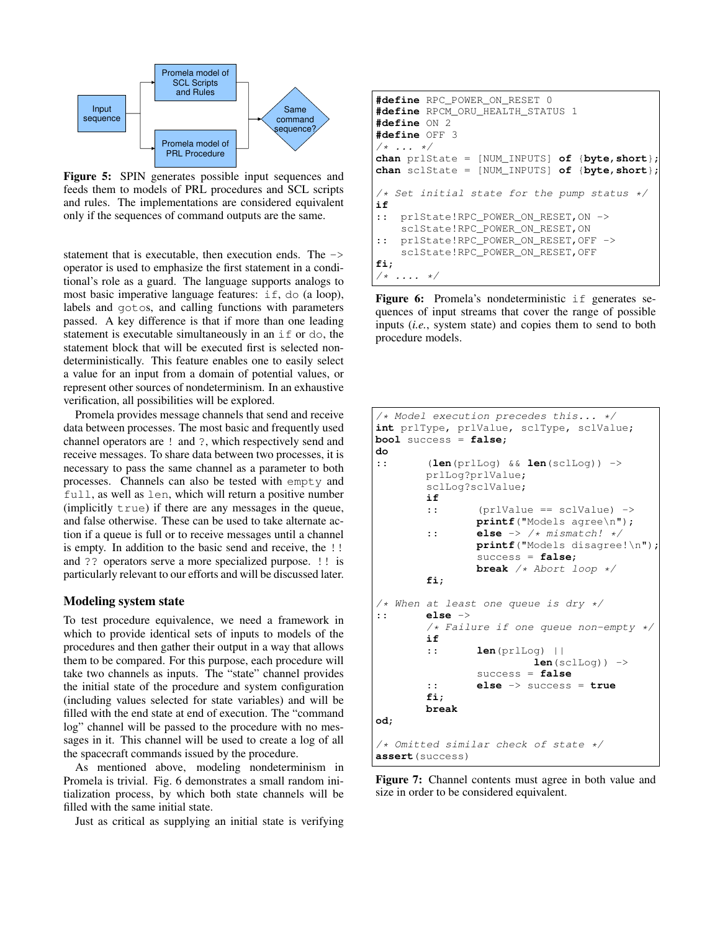

Figure 5: SPIN generates possible input sequences and feeds them to models of PRL procedures and SCL scripts and rules. The implementations are considered equivalent only if the sequences of command outputs are the same.

statement that is executable, then execution ends. The -> operator is used to emphasize the first statement in a conditional's role as a guard. The language supports analogs to most basic imperative language features: if, do (a loop), labels and gotos, and calling functions with parameters passed. A key difference is that if more than one leading statement is executable simultaneously in an if or do, the statement block that will be executed first is selected nondeterministically. This feature enables one to easily select a value for an input from a domain of potential values, or represent other sources of nondeterminism. In an exhaustive verification, all possibilities will be explored.

Promela provides message channels that send and receive data between processes. The most basic and frequently used channel operators are ! and ?, which respectively send and receive messages. To share data between two processes, it is necessary to pass the same channel as a parameter to both processes. Channels can also be tested with empty and full, as well as len, which will return a positive number (implicitly true) if there are any messages in the queue, and false otherwise. These can be used to take alternate action if a queue is full or to receive messages until a channel is empty. In addition to the basic send and receive, the !! and ?? operators serve a more specialized purpose. !! is particularly relevant to our efforts and will be discussed later.

### Modeling system state

To test procedure equivalence, we need a framework in which to provide identical sets of inputs to models of the procedures and then gather their output in a way that allows them to be compared. For this purpose, each procedure will take two channels as inputs. The "state" channel provides the initial state of the procedure and system configuration (including values selected for state variables) and will be filled with the end state at end of execution. The "command log" channel will be passed to the procedure with no messages in it. This channel will be used to create a log of all the spacecraft commands issued by the procedure.

As mentioned above, modeling nondeterminism in Promela is trivial. Fig. 6 demonstrates a small random initialization process, by which both state channels will be filled with the same initial state.

Just as critical as supplying an initial state is verifying

```
#define RPC_POWER_ON_RESET 0
#define RPCM_ORU_HEALTH_STATUS 1
#define ON 2
#define OFF 3
/* ... */
chan prlState = [NUM_INPUTS] of {byte,short};
chan sclState = [NUM_INPUTS] of {byte,short};
/* Set initial state for the pump status */
if
:: prlState!RPC_POWER_ON_RESET,ON ->
    sclState!RPC_POWER_ON_RESET,ON
:: prlState!RPC_POWER_ON_RESET,OFF ->
    sclState!RPC_POWER_ON_RESET,OFF
fi;
/* \ldots */
```
Figure 6: Promela's nondeterministic if generates sequences of input streams that cover the range of possible inputs (*i.e.*, system state) and copies them to send to both procedure models.

```
/* Model execution precedes this... */
int prlType, prlValue, sclType, sclValue;
bool success = false;
do
:: (len(prlLog) && len(sclLog)) ->
        prlLog?prlValue;
        sclLog?sclValue;
        if
        :: (prlValue == sclValue) ->
                printf("Models agree\n");
        :: else -> /* mismatch! */
                printf("Models disagree!\n");
                 success = false;
                break /* Abort loop */
        fi;
/* When at least one queue is dry */<br>:: \text{else} ->
        :: else ->
        /* Failure if one queue non-empty */
        if
        :: len(prlLog) ||
                          len(sclLog)) \rightarrowsuccess = false
        :: else -> success = true
        fi;
        break
od;
/* Omitted similar check of state */
assert(success)
```
Figure 7: Channel contents must agree in both value and size in order to be considered equivalent.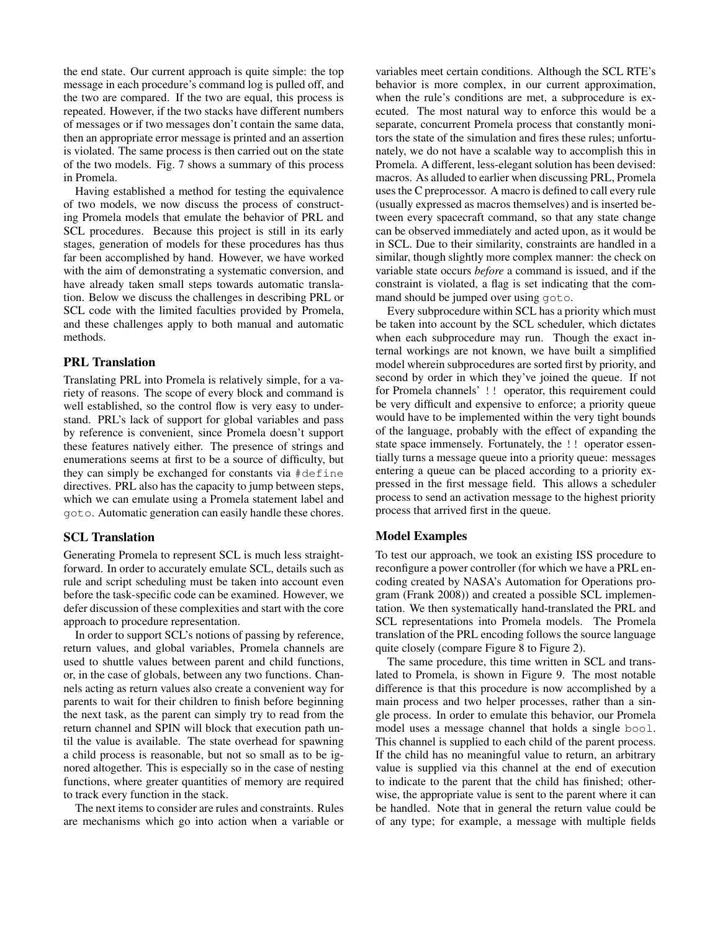the end state. Our current approach is quite simple: the top message in each procedure's command log is pulled off, and the two are compared. If the two are equal, this process is repeated. However, if the two stacks have different numbers of messages or if two messages don't contain the same data, then an appropriate error message is printed and an assertion is violated. The same process is then carried out on the state of the two models. Fig. 7 shows a summary of this process in Promela.

Having established a method for testing the equivalence of two models, we now discuss the process of constructing Promela models that emulate the behavior of PRL and SCL procedures. Because this project is still in its early stages, generation of models for these procedures has thus far been accomplished by hand. However, we have worked with the aim of demonstrating a systematic conversion, and have already taken small steps towards automatic translation. Below we discuss the challenges in describing PRL or SCL code with the limited faculties provided by Promela, and these challenges apply to both manual and automatic methods.

#### PRL Translation

Translating PRL into Promela is relatively simple, for a variety of reasons. The scope of every block and command is well established, so the control flow is very easy to understand. PRL's lack of support for global variables and pass by reference is convenient, since Promela doesn't support these features natively either. The presence of strings and enumerations seems at first to be a source of difficulty, but they can simply be exchanged for constants via #define directives. PRL also has the capacity to jump between steps, which we can emulate using a Promela statement label and goto. Automatic generation can easily handle these chores.

### SCL Translation

Generating Promela to represent SCL is much less straightforward. In order to accurately emulate SCL, details such as rule and script scheduling must be taken into account even before the task-specific code can be examined. However, we defer discussion of these complexities and start with the core approach to procedure representation.

In order to support SCL's notions of passing by reference, return values, and global variables, Promela channels are used to shuttle values between parent and child functions, or, in the case of globals, between any two functions. Channels acting as return values also create a convenient way for parents to wait for their children to finish before beginning the next task, as the parent can simply try to read from the return channel and SPIN will block that execution path until the value is available. The state overhead for spawning a child process is reasonable, but not so small as to be ignored altogether. This is especially so in the case of nesting functions, where greater quantities of memory are required to track every function in the stack.

The next items to consider are rules and constraints. Rules are mechanisms which go into action when a variable or

variables meet certain conditions. Although the SCL RTE's behavior is more complex, in our current approximation, when the rule's conditions are met, a subprocedure is executed. The most natural way to enforce this would be a separate, concurrent Promela process that constantly monitors the state of the simulation and fires these rules; unfortunately, we do not have a scalable way to accomplish this in Promela. A different, less-elegant solution has been devised: macros. As alluded to earlier when discussing PRL, Promela uses the C preprocessor. A macro is defined to call every rule (usually expressed as macros themselves) and is inserted between every spacecraft command, so that any state change can be observed immediately and acted upon, as it would be in SCL. Due to their similarity, constraints are handled in a similar, though slightly more complex manner: the check on variable state occurs *before* a command is issued, and if the constraint is violated, a flag is set indicating that the command should be jumped over using goto.

Every subprocedure within SCL has a priority which must be taken into account by the SCL scheduler, which dictates when each subprocedure may run. Though the exact internal workings are not known, we have built a simplified model wherein subprocedures are sorted first by priority, and second by order in which they've joined the queue. If not for Promela channels' !! operator, this requirement could be very difficult and expensive to enforce; a priority queue would have to be implemented within the very tight bounds of the language, probably with the effect of expanding the state space immensely. Fortunately, the !! operator essentially turns a message queue into a priority queue: messages entering a queue can be placed according to a priority expressed in the first message field. This allows a scheduler process to send an activation message to the highest priority process that arrived first in the queue.

### Model Examples

To test our approach, we took an existing ISS procedure to reconfigure a power controller (for which we have a PRL encoding created by NASA's Automation for Operations program (Frank 2008)) and created a possible SCL implementation. We then systematically hand-translated the PRL and SCL representations into Promela models. The Promela translation of the PRL encoding follows the source language quite closely (compare Figure 8 to Figure 2).

The same procedure, this time written in SCL and translated to Promela, is shown in Figure 9. The most notable difference is that this procedure is now accomplished by a main process and two helper processes, rather than a single process. In order to emulate this behavior, our Promela model uses a message channel that holds a single bool. This channel is supplied to each child of the parent process. If the child has no meaningful value to return, an arbitrary value is supplied via this channel at the end of execution to indicate to the parent that the child has finished; otherwise, the appropriate value is sent to the parent where it can be handled. Note that in general the return value could be of any type; for example, a message with multiple fields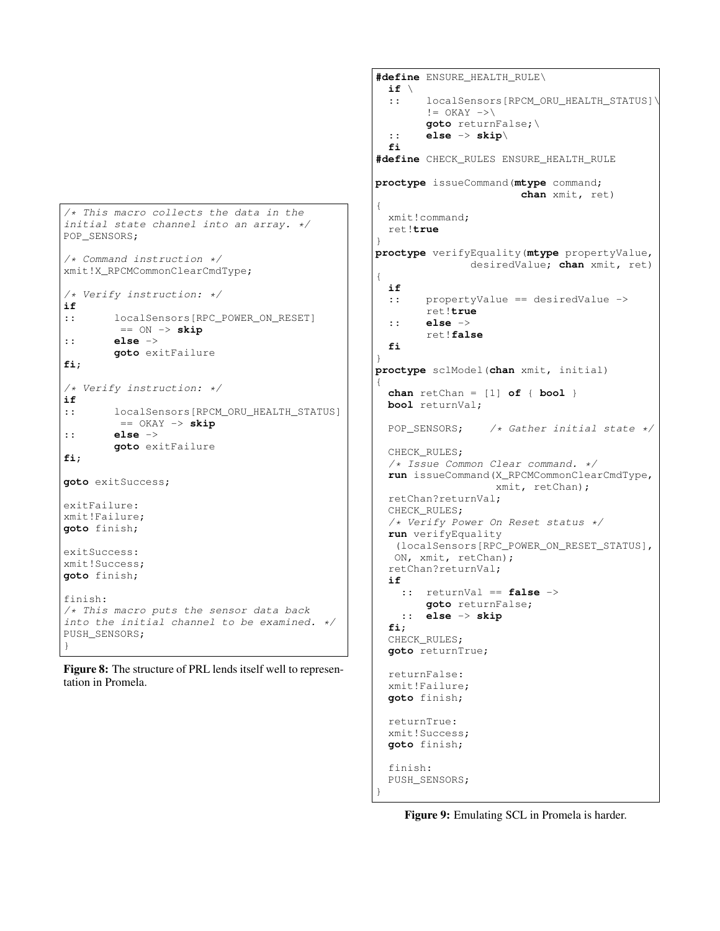```
/* This macro collects the data in the
initial state channel into an array. */
POP_SENSORS;
/* Command instruction */
xmit!X_RPCMCommonClearCmdType;
/* Verify instruction: */
if
:: localSensors[RPC_POWER_ON_RESET]
        == ON -> skip
:: else ->
        goto exitFailure
fi;
/* Verify instruction: */
if
:: localSensors[RPCM_ORU_HEALTH_STATUS]
        == OKAY -> skip
:: else ->
        goto exitFailure
fi;
goto exitSuccess;
exitFailure:
xmit!Failure;
goto finish;
exitSuccess:
xmit!Success;
goto finish;
finish:
/* This macro puts the sensor data back
into the initial channel to be examined. */PUSH_SENSORS;
}
```
Figure 8: The structure of PRL lends itself well to representation in Promela.

```
#define ENSURE_HEALTH_RULE\
 if \
  :: localSensors[RPCM_ORU_HEALTH_STATUS]\
        != OKAY ->\goto returnFalse;\
  :: else -> skip\
 fi
#define CHECK_RULES ENSURE_HEALTH_RULE
proctype issueCommand(mtype command;
                       chan xmit, ret)
{
 xmit!command;
 ret!true
}
proctype verifyEquality(mtype propertyValue,
               desiredValue; chan xmit, ret)
{
 if
  :: propertyValue == desiredValue ->
        ret!true
  :: else ->
        ret!false
  fi
}
proctype sclModel(chan xmit, initial)
{
  chan retChan = [1] of { bool }
 bool returnVal;
 POP_SENSORS; /* Gather initial state */
 CHECK_RULES;
  /* Issue Common Clear command. */
 run issueCommand(X_RPCMCommonClearCmdType,
                   xmit, retChan);
  retChan?returnVal;
  CHECK_RULES;
  /* Verify Power On Reset status */
  run verifyEquality
   (localSensors[RPC_POWER_ON_RESET_STATUS],
  ON, xmit, retChan);
  retChan?returnVal;
  if
    :: returnVal == false ->
        goto returnFalse;
    :: else -> skip
  fi;
  CHECK_RULES;
  goto returnTrue;
  returnFalse:
 xmit!Failure;
 goto finish;
  returnTrue:
  xmit!Success;
  goto finish;
  finish:
 PUSH_SENSORS;
}
```
Figure 9: Emulating SCL in Promela is harder.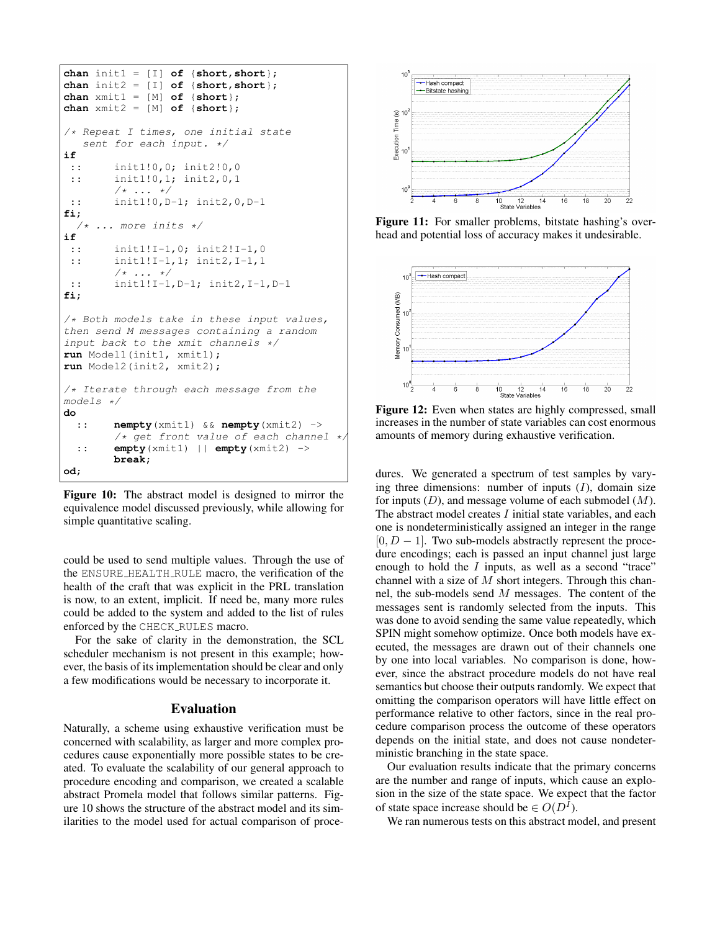```
chan init1 = [I] of {short,short};
chan init2 = [I] of {short,short};
chan xmit1 = [M] of {short};
chan xmit2 = [M] of {short};
/* Repeat I times, one initial state
   sent for each input. */
if
 :: init1!0,0; init2!0,0
 :: init1!0,1; init2,0,1
        /* ... */
 :: init1!0,D-1; init2,0,D-1
fi;
     /* ... more inits */
if
 :: init1!I-1,0; init2!I-1,0
 :: init1!I-1,1; init2, I-1,1
        /* ... */
 :: init1!I-1,D-1; init2,I-1,D-1
fi;
/* Both models take in these input values,
then send M messages containing a random
input back to the xmit channels */
run Model1(init1, xmit1);
run Model2(init2, xmit2);
/* Iterate through each message from the
models */
do
  :: nempty(xmit1) && nempty(xmit2) ->
        /* get front value of each channel */
  :: empty(xmit1) || empty(xmit2) ->
        break;
od;
```
Figure 10: The abstract model is designed to mirror the equivalence model discussed previously, while allowing for simple quantitative scaling.

could be used to send multiple values. Through the use of the ENSURE HEALTH RULE macro, the verification of the health of the craft that was explicit in the PRL translation is now, to an extent, implicit. If need be, many more rules could be added to the system and added to the list of rules enforced by the CHECK RULES macro.

For the sake of clarity in the demonstration, the SCL scheduler mechanism is not present in this example; however, the basis of its implementation should be clear and only a few modifications would be necessary to incorporate it.

#### Evaluation

Naturally, a scheme using exhaustive verification must be concerned with scalability, as larger and more complex procedures cause exponentially more possible states to be created. To evaluate the scalability of our general approach to procedure encoding and comparison, we created a scalable abstract Promela model that follows similar patterns. Figure 10 shows the structure of the abstract model and its similarities to the model used for actual comparison of proce-



Figure 11: For smaller problems, bitstate hashing's overhead and potential loss of accuracy makes it undesirable.



increases in the number of state variables can cost enormous amounts of memory during exhaustive verification.

dures. We generated a spectrum of test samples by varying three dimensions: number of inputs  $(I)$ , domain size for inputs  $(D)$ , and message volume of each submodel  $(M)$ . The abstract model creates I initial state variables, and each one is nondeterministically assigned an integer in the range  $[0, D - 1]$ . Two sub-models abstractly represent the procedure encodings; each is passed an input channel just large enough to hold the  $I$  inputs, as well as a second "trace" channel with a size of  $M$  short integers. Through this channel, the sub-models send M messages. The content of the messages sent is randomly selected from the inputs. This was done to avoid sending the same value repeatedly, which SPIN might somehow optimize. Once both models have executed, the messages are drawn out of their channels one by one into local variables. No comparison is done, however, since the abstract procedure models do not have real semantics but choose their outputs randomly. We expect that omitting the comparison operators will have little effect on performance relative to other factors, since in the real procedure comparison process the outcome of these operators depends on the initial state, and does not cause nondeterministic branching in the state space.

Our evaluation results indicate that the primary concerns are the number and range of inputs, which cause an explosion in the size of the state space. We expect that the factor of state space increase should be  $\in O(D^I)$ .

We ran numerous tests on this abstract model, and present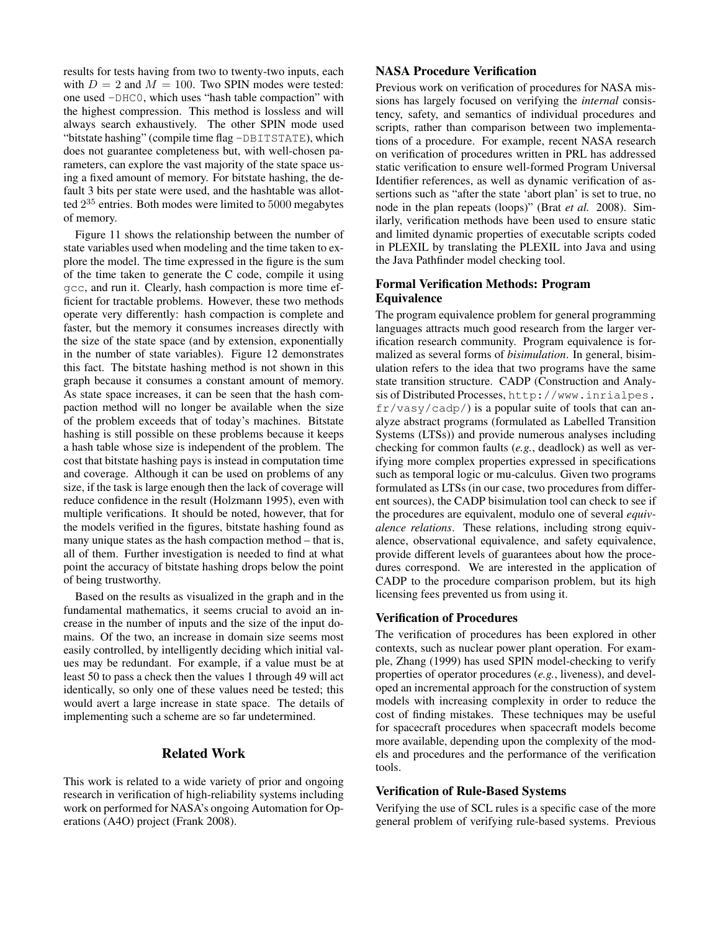results for tests having from two to twenty-two inputs, each with  $D = 2$  and  $M = 100$ . Two SPIN modes were tested: one used -DHC0, which uses "hash table compaction" with the highest compression. This method is lossless and will always search exhaustively. The other SPIN mode used "bitstate hashing" (compile time flag -DBITSTATE), which does not guarantee completeness but, with well-chosen parameters, can explore the vast majority of the state space using a fixed amount of memory. For bitstate hashing, the default 3 bits per state were used, and the hashtable was allotted  $2^{35}$  entries. Both modes were limited to  $5000$  megabytes of memory.

Figure 11 shows the relationship between the number of state variables used when modeling and the time taken to explore the model. The time expressed in the figure is the sum of the time taken to generate the C code, compile it using gcc, and run it. Clearly, hash compaction is more time efficient for tractable problems. However, these two methods operate very differently: hash compaction is complete and faster, but the memory it consumes increases directly with the size of the state space (and by extension, exponentially in the number of state variables). Figure 12 demonstrates this fact. The bitstate hashing method is not shown in this graph because it consumes a constant amount of memory. As state space increases, it can be seen that the hash compaction method will no longer be available when the size of the problem exceeds that of today's machines. Bitstate hashing is still possible on these problems because it keeps a hash table whose size is independent of the problem. The cost that bitstate hashing pays is instead in computation time and coverage. Although it can be used on problems of any size, if the task is large enough then the lack of coverage will reduce confidence in the result (Holzmann 1995), even with multiple verifications. It should be noted, however, that for the models verified in the figures, bitstate hashing found as many unique states as the hash compaction method – that is, all of them. Further investigation is needed to find at what point the accuracy of bitstate hashing drops below the point of being trustworthy.

Based on the results as visualized in the graph and in the fundamental mathematics, it seems crucial to avoid an increase in the number of inputs and the size of the input domains. Of the two, an increase in domain size seems most easily controlled, by intelligently deciding which initial values may be redundant. For example, if a value must be at least 50 to pass a check then the values 1 through 49 will act identically, so only one of these values need be tested; this would avert a large increase in state space. The details of implementing such a scheme are so far undetermined.

# Related Work

This work is related to a wide variety of prior and ongoing research in verification of high-reliability systems including work on performed for NASA's ongoing Automation for Operations (A4O) project (Frank 2008).

## NASA Procedure Verification

Previous work on verification of procedures for NASA missions has largely focused on verifying the *internal* consistency, safety, and semantics of individual procedures and scripts, rather than comparison between two implementations of a procedure. For example, recent NASA research on verification of procedures written in PRL has addressed static verification to ensure well-formed Program Universal Identifier references, as well as dynamic verification of assertions such as "after the state 'abort plan' is set to true, no node in the plan repeats (loops)" (Brat *et al.* 2008). Similarly, verification methods have been used to ensure static and limited dynamic properties of executable scripts coded in PLEXIL by translating the PLEXIL into Java and using the Java Pathfinder model checking tool.

# Formal Verification Methods: Program Equivalence

The program equivalence problem for general programming languages attracts much good research from the larger verification research community. Program equivalence is formalized as several forms of *bisimulation*. In general, bisimulation refers to the idea that two programs have the same state transition structure. CADP (Construction and Analysis of Distributed Processes, http://www.inrialpes. fr/vasy/cadp/) is a popular suite of tools that can analyze abstract programs (formulated as Labelled Transition Systems (LTSs)) and provide numerous analyses including checking for common faults (*e.g.*, deadlock) as well as verifying more complex properties expressed in specifications such as temporal logic or mu-calculus. Given two programs formulated as LTSs (in our case, two procedures from different sources), the CADP bisimulation tool can check to see if the procedures are equivalent, modulo one of several *equivalence relations*. These relations, including strong equivalence, observational equivalence, and safety equivalence, provide different levels of guarantees about how the procedures correspond. We are interested in the application of CADP to the procedure comparison problem, but its high licensing fees prevented us from using it.

### Verification of Procedures

The verification of procedures has been explored in other contexts, such as nuclear power plant operation. For example, Zhang (1999) has used SPIN model-checking to verify properties of operator procedures (*e.g.*, liveness), and developed an incremental approach for the construction of system models with increasing complexity in order to reduce the cost of finding mistakes. These techniques may be useful for spacecraft procedures when spacecraft models become more available, depending upon the complexity of the models and procedures and the performance of the verification tools.

#### Verification of Rule-Based Systems

Verifying the use of SCL rules is a specific case of the more general problem of verifying rule-based systems. Previous